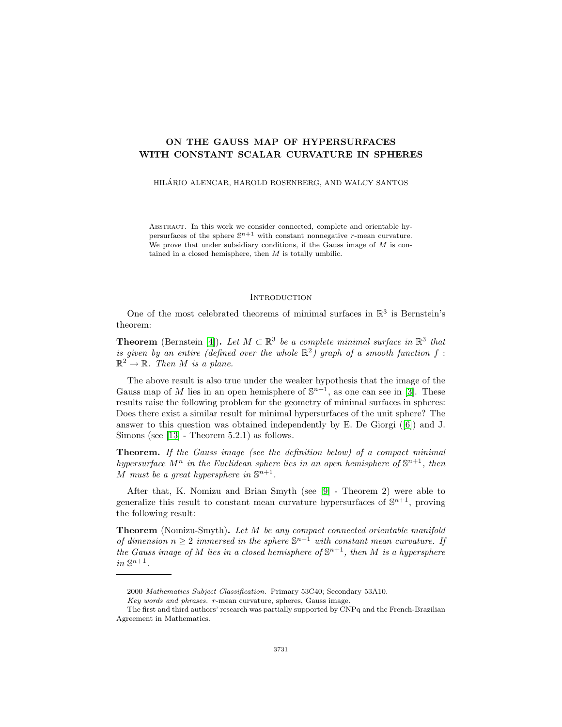# **ON THE GAUSS MAP OF HYPERSURFACES WITH CONSTANT SCALAR CURVATURE IN SPHERES**

HILARIO ALENCAR, HAROLD ROSENBERG, AND WALCY SANTOS ´

Abstract. In this work we consider connected, complete and orientable hypersurfaces of the sphere  $\mathbb{S}^{n+1}$  with constant nonnegative r-mean curvature. We prove that under subsidiary conditions, if the Gauss image of  $M$  is contained in a closed hemisphere, then  $M$  is totally umbilic.

#### **INTRODUCTION**

One of the most celebrated theorems of minimal surfaces in  $\mathbb{R}^3$  is Bernstein's theorem:

**Theorem** (Bernstein [\[4\]](#page-7-0)). Let  $M \subset \mathbb{R}^3$  be a complete minimal surface in  $\mathbb{R}^3$  that is given by an entire (defined over the whole  $\mathbb{R}^2$ ) graph of a smooth function f:  $\mathbb{R}^2 \to \mathbb{R}$ . Then M is a plane.

The above result is also true under the weaker hypothesis that the image of the Gauss map of M lies in an open hemisphere of  $\mathbb{S}^{n+1}$ , as one can see in [\[3\]](#page-7-1). These results raise the following problem for the geometry of minimal surfaces in spheres: Does there exist a similar result for minimal hypersurfaces of the unit sphere? The answer to this question was obtained independently by E. De Giorgi ([\[6\]](#page-7-2)) and J. Simons (see [\[13\]](#page-8-0) - Theorem 5.2.1) as follows.

**Theorem.** If the Gauss image (see the definition below) of a compact minimal hypersurface  $M^n$  in the Euclidean sphere lies in an open hemisphere of  $\mathbb{S}^{n+1}$ , then M must be a great hypersphere in  $\mathbb{S}^{n+1}$ .

After that, K. Nomizu and Brian Smyth (see [\[9\]](#page-8-1) - Theorem 2) were able to generalize this result to constant mean curvature hypersurfaces of  $\mathbb{S}^{n+1}$ , proving the following result:

**Theorem** (Nomizu-Smyth)**.** Let M be any compact connected orientable manifold of dimension  $n \geq 2$  immersed in the sphere  $\mathbb{S}^{n+1}$  with constant mean curvature. If the Gauss image of M lies in a closed hemisphere of  $\mathbb{S}^{n+1}$ , then M is a hypersphere in  $\mathbb{S}^{n+1}$ .

<sup>2000</sup> Mathematics Subject Classification. Primary 53C40; Secondary 53A10.

Key words and phrases. r-mean curvature, spheres, Gauss image.

The first and third authors' research was partially supported by CNPq and the French-Brazilian Agreement in Mathematics.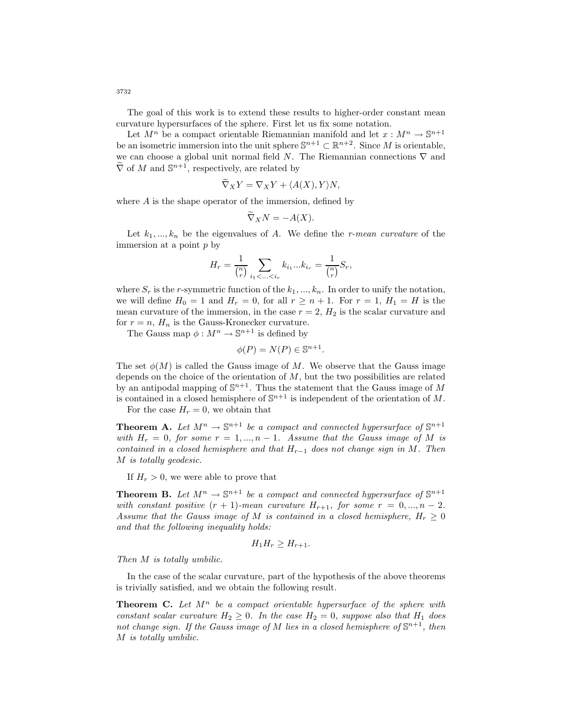The goal of this work is to extend these results to higher-order constant mean curvature hypersurfaces of the sphere. First let us fix some notation.

Let  $M^n$  be a compact orientable Riemannian manifold and let  $x : M^n \to \mathbb{S}^{n+1}$ be an isometric immersion into the unit sphere  $\mathbb{S}^{n+1} \subset \mathbb{R}^{n+2}$ . Since M is orientable, we can choose a global unit normal field N. The Riemannian connections  $\nabla$  and  $\widetilde{\nabla}$  of M and  $\mathbb{S}^{n+1}$ , respectively, are related by

$$
\widetilde{\nabla}_X Y = \nabla_X Y + \langle A(X), Y \rangle N,
$$

where  $A$  is the shape operator of the immersion, defined by

$$
\widetilde{\nabla}_X N = -A(X).
$$

Let  $k_1, ..., k_n$  be the eigenvalues of A. We define the r-mean curvature of the immersion at a point p by

$$
H_r = \frac{1}{\binom{n}{r}} \sum_{i_1 < \ldots < i_r} k_{i_1} \ldots k_{i_r} = \frac{1}{\binom{n}{r}} S_r,
$$

where  $S_r$  is the r-symmetric function of the  $k_1, ..., k_n$ . In order to unify the notation, we will define  $H_0 = 1$  and  $H_r = 0$ , for all  $r \geq n+1$ . For  $r = 1$ ,  $H_1 = H$  is the mean curvature of the immersion, in the case  $r = 2$ ,  $H<sub>2</sub>$  is the scalar curvature and for  $r = n$ ,  $H_n$  is the Gauss-Kronecker curvature.

The Gauss map  $\phi : M^n \to \mathbb{S}^{n+1}$  is defined by

$$
\phi(P) = N(P) \in \mathbb{S}^{n+1}.
$$

The set  $\phi(M)$  is called the Gauss image of M. We observe that the Gauss image depends on the choice of the orientation of  $M$ , but the two possibilities are related by an antipodal mapping of  $\mathbb{S}^{n+1}.$  Thus the statement that the Gauss image of  $M$ is contained in a closed hemisphere of  $\mathbb{S}^{n+1}$  is independent of the orientation of M.

For the case  $H_r = 0$ , we obtain that

**Theorem A.** Let  $M^n \to \mathbb{S}^{n+1}$  be a compact and connected hypersurface of  $\mathbb{S}^{n+1}$ with  $H_r = 0$ , for some  $r = 1, ..., n - 1$ . Assume that the Gauss image of M is contained in a closed hemisphere and that  $H_{r-1}$  does not change sign in M. Then M is totally geodesic.

If  $H_r > 0$ , we were able to prove that

**Theorem B.** Let  $M^n \to \mathbb{S}^{n+1}$  be a compact and connected hypersurface of  $\mathbb{S}^{n+1}$ with constant positive  $(r + 1)$ -mean curvature  $H_{r+1}$ , for some  $r = 0, ..., n-2$ . Assume that the Gauss image of M is contained in a closed hemisphere,  $H_r > 0$ and that the following inequality holds:

$$
H_1H_r \geq H_{r+1}.
$$

Then M is totally umbilic.

In the case of the scalar curvature, part of the hypothesis of the above theorems is trivially satisfied, and we obtain the following result.

**Theorem C.** Let  $M^n$  be a compact orientable hypersurface of the sphere with constant scalar curvature  $H_2 \geq 0$ . In the case  $H_2 = 0$ , suppose also that  $H_1$  does not change sign. If the Gauss image of M lies in a closed hemisphere of  $\mathbb{S}^{n+1}$ , then M is totally umbilic.

3732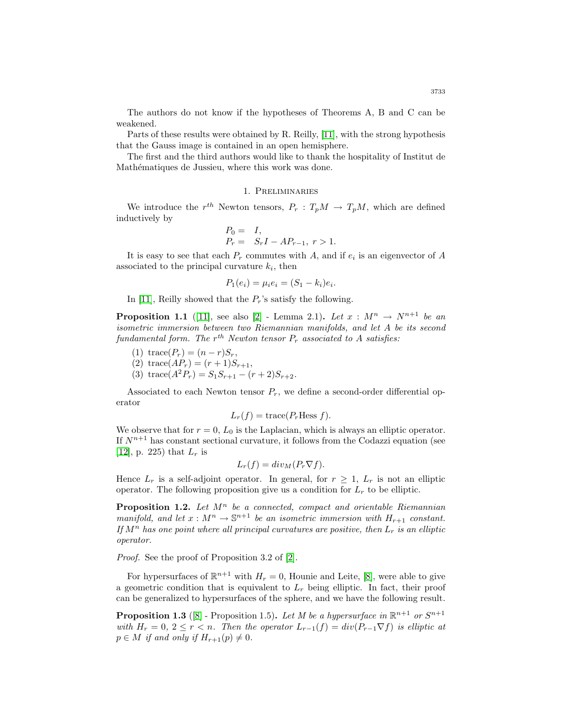The authors do not know if the hypotheses of Theorems A, B and C can be weakened.

Parts of these results were obtained by R. Reilly, [\[11\]](#page-8-2), with the strong hypothesis that the Gauss image is contained in an open hemisphere.

The first and the third authors would like to thank the hospitality of Institut de Mathématiques de Jussieu, where this work was done.

## 1. Preliminaries

We introduce the  $r^{th}$  Newton tensors,  $P_r: T_pM \to T_pM$ , which are defined inductively by

$$
P_0 = I, P_r = S_r I - A P_{r-1}, r > 1.
$$

It is easy to see that each  $P_r$  commutes with A, and if  $e_i$  is an eigenvector of A associated to the principal curvature  $k_i$ , then

$$
P_1(e_i) = \mu_i e_i = (S_1 - k_i)e_i.
$$

In [\[11\]](#page-8-2), Reilly showed that the  $P_r$ 's satisfy the following.

**Proposition 1.1** ([\[11\]](#page-8-2), see also [\[2\]](#page-7-3) - Lemma 2.1). Let  $x : M^n \rightarrow N^{n+1}$  be an isometric immersion between two Riemannian manifolds, and let A be its second fundamental form. The  $r^{th}$  Newton tensor  $P_r$  associated to A satisfies:

(1) trace( $P_r$ ) =  $(n - r)S_r$ ,

(2) trace
$$
(AP_r) = (r+1)S_{r+1}
$$
,

(3) trace( $A^2P_r$ ) =  $S_1S_{r+1} - (r+2)S_{r+2}$ .

Associated to each Newton tensor  $P_r$ , we define a second-order differential operator

$$
L_r(f) = \text{trace}(P_r \text{Hess } f).
$$

We observe that for  $r = 0$ ,  $L_0$  is the Laplacian, which is always an elliptic operator. If  $N^{n+1}$  has constant sectional curvature, it follows from the Codazzi equation (see [\[12\]](#page-8-3), p. 225) that  $L_r$  is

$$
L_r(f) = div_M(P_r \nabla f).
$$

<span id="page-2-0"></span>Hence  $L_r$  is a self-adjoint operator. In general, for  $r \geq 1$ ,  $L_r$  is not an elliptic operator. The following proposition give us a condition for  $L<sub>r</sub>$  to be elliptic.

**Proposition 1.2.** Let  $M^n$  be a connected, compact and orientable Riemannian manifold, and let  $x : M^n \to \mathbb{S}^{n+1}$  be an isometric immersion with  $H_{r+1}$  constant. If  $M^n$  has one point where all principal curvatures are positive, then  $L_r$  is an elliptic operator.

Proof. See the proof of Proposition 3.2 of [\[2\]](#page-7-3).

For hypersurfaces of  $\mathbb{R}^{n+1}$  with  $H_r = 0$ , Hounie and Leite, [\[8\]](#page-8-4), were able to give a geometric condition that is equivalent to  $L_r$  being elliptic. In fact, their proof can be generalized to hypersurfaces of the sphere, and we have the following result.

**Proposition 1.3** ([\[8\]](#page-8-4) - Proposition 1.5). Let M be a hypersurface in  $\mathbb{R}^{n+1}$  or  $S^{n+1}$ with  $H_r = 0$ ,  $2 \leq r < n$ . Then the operator  $L_{r-1}(f) = div(P_{r-1} \nabla f)$  is elliptic at  $p \in M$  if and only if  $H_{r+1}(p) \neq 0$ .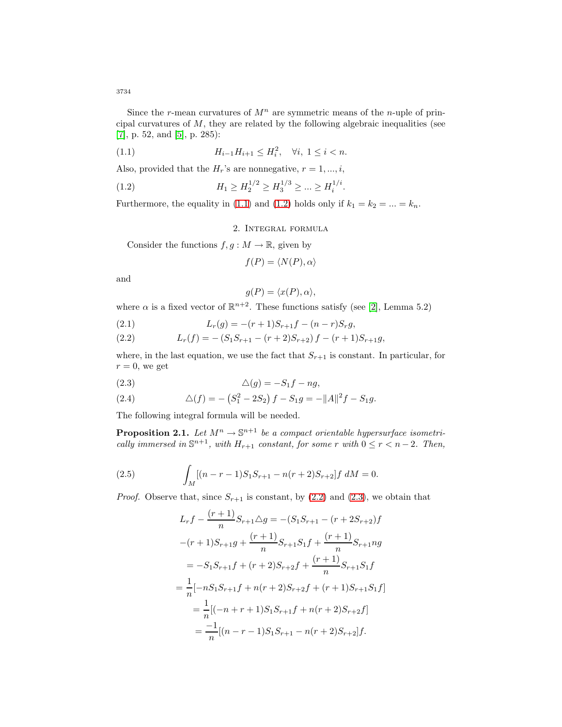Since the r-mean curvatures of  $M^n$  are symmetric means of the *n*-uple of principal curvatures of  $M$ , they are related by the following algebraic inequalities (see [\[7\]](#page-8-5), p. 52, and [\[5\]](#page-7-4), p. 285):

<span id="page-3-0"></span>(1.1) 
$$
H_{i-1}H_{i+1} \le H_i^2, \quad \forall i, \ 1 \le i < n.
$$

Also, provided that the  $H_r$ 's are nonnegative,  $r = 1, ..., i$ ,

(1.2) 
$$
H_1 \ge H_2^{1/2} \ge H_3^{1/3} \ge \dots \ge H_i^{1/i}.
$$

Furthermore, the equality in [\(1.1\)](#page-3-0) and [\(1.2\)](#page-3-1) holds only if  $k_1 = k_2 = ... = k_n$ .

<span id="page-3-1"></span>2. Integral formula

Consider the functions  $f, g : M \to \mathbb{R}$ , given by

$$
f(P) = \langle N(P), \alpha \rangle
$$

and

$$
g(P) = \langle x(P), \alpha \rangle,
$$

where  $\alpha$  is a fixed vector of  $\mathbb{R}^{n+2}$ . These functions satisfy (see [\[2\]](#page-7-3), Lemma 5.2)

(2.1) 
$$
L_r(g) = -(r+1)S_{r+1}f - (n-r)S_r g,
$$

<span id="page-3-2"></span>(2.2) 
$$
L_r(f) = -(S_1S_{r+1} - (r+2)S_{r+2})f - (r+1)S_{r+1}g,
$$

where, in the last equation, we use the fact that  $S_{r+1}$  is constant. In particular, for  $r = 0$ , we get

<span id="page-3-3"></span>
$$
(2.3) \qquad \qquad \Delta(g) = -S_1 f - n g,
$$

(2.4) 
$$
\Delta(f) = -\left(S_1^2 - 2S_2\right)f - S_1g = -\|A\|^2f - S_1g.
$$

<span id="page-3-5"></span>The following integral formula will be needed.

**Proposition 2.1.** Let  $M^n \to \mathbb{S}^{n+1}$  be a compact orientable hypersurface isometrically immersed in  $\mathbb{S}^{n+1}$ , with  $H_{r+1}$  constant, for some r with  $0 \leq r < n-2$ . Then,

<span id="page-3-4"></span>(2.5) 
$$
\int_M [(n-r-1)S_1S_{r+1} - n(r+2)S_{r+2}]f\ dM = 0.
$$

*Proof.* Observe that, since  $S_{r+1}$  is constant, by [\(2.2\)](#page-3-2) and [\(2.3\)](#page-3-3), we obtain that

$$
L_r f - \frac{(r+1)}{n} S_{r+1} \Delta g = -(S_1 S_{r+1} - (r+2S_{r+2})f
$$
  

$$
-(r+1)S_{r+1}g + \frac{(r+1)}{n} S_{r+1} S_1 f + \frac{(r+1)}{n} S_{r+1} n g
$$
  

$$
= -S_1 S_{r+1} f + (r+2)S_{r+2} f + \frac{(r+1)}{n} S_{r+1} S_1 f
$$
  

$$
= \frac{1}{n} [-nS_1 S_{r+1} f + n(r+2)S_{r+2} f + (r+1)S_{r+1} S_1 f]
$$
  

$$
= \frac{1}{n} [(-n+r+1)S_1 S_{r+1} f + n(r+2)S_{r+2} f]
$$
  

$$
= \frac{-1}{n} [(n-r-1)S_1 S_{r+1} - n(r+2)S_{r+2}] f.
$$

3734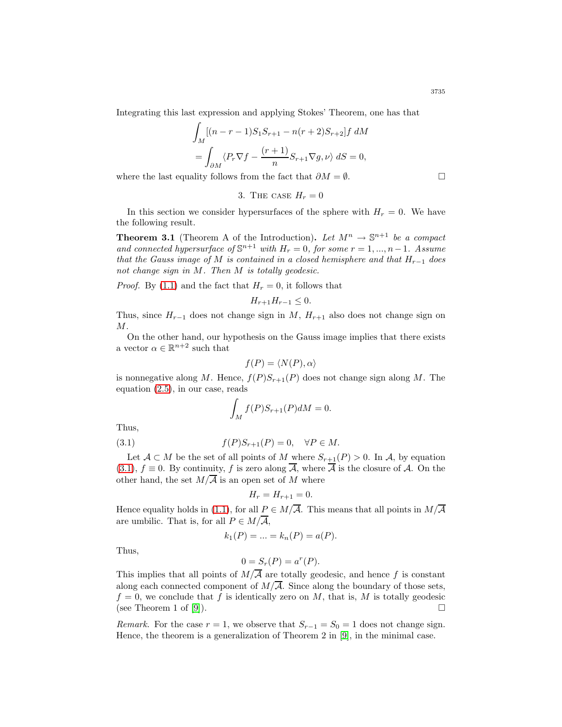Integrating this last expression and applying Stokes' Theorem, one has that

$$
\int_M [(n-r-1)S_1S_{r+1} - n(r+2)S_{r+2}]f \, dM
$$
  
= 
$$
\int_{\partial M} \langle P_r \nabla f - \frac{(r+1)}{n} S_{r+1} \nabla g, \nu \rangle \, dS = 0,
$$

where the last equality follows from the fact that  $\partial M = \emptyset$ .

3. THE CASE 
$$
H_r = 0
$$

<span id="page-4-1"></span>In this section we consider hypersurfaces of the sphere with  $H_r = 0$ . We have the following result.

**Theorem 3.1** (Theorem A of the Introduction). Let  $M^n \to \mathbb{S}^{n+1}$  be a compact and connected hypersurface of  $\mathbb{S}^{n+1}$  with  $H_r = 0$ , for some  $r = 1, ..., n-1$ . Assume that the Gauss image of M is contained in a closed hemisphere and that  $H_{r-1}$  does not change sign in M. Then M is totally geodesic.

*Proof.* By [\(1.1\)](#page-3-0) and the fact that  $H_r = 0$ , it follows that

$$
H_{r+1}H_{r-1}\leq 0.
$$

Thus, since  $H_{r-1}$  does not change sign in M,  $H_{r+1}$  also does not change sign on  $M$ .

On the other hand, our hypothesis on the Gauss image implies that there exists a vector  $\alpha \in \mathbb{R}^{n+2}$  such that

$$
f(P) = \langle N(P), \alpha \rangle
$$

is nonnegative along M. Hence,  $f(P)S_{r+1}(P)$  does not change sign along M. The equation [\(2.5\)](#page-3-4), in our case, reads

$$
\int_M f(P)S_{r+1}(P)dM = 0.
$$

<span id="page-4-0"></span>Thus,

$$
(3.1) \t\t f(P)S_{r+1}(P) = 0, \quad \forall P \in M.
$$

Let  $A \subset M$  be the set of all points of M where  $S_{r+1}(P) > 0$ . In A, by equation [\(3.1\)](#page-4-0),  $f \equiv 0$ . By continuity, f is zero along  $\overline{A}$ , where  $\overline{A}$  is the closure of A. On the other hand, the set  $M/\overline{A}$  is an open set of M where

$$
H_r = H_{r+1} = 0.
$$

Hence equality holds in [\(1.1\)](#page-3-0), for all  $P \in M/\overline{A}$ . This means that all points in  $M/\overline{A}$ are umbilic. That is, for all  $P \in M/\overline{\mathcal{A}}$ ,

$$
k_1(P) = \dots = k_n(P) = a(P).
$$

Thus,

$$
0 = S_r(P) = a^r(P).
$$

This implies that all points of  $M/\overline{A}$  are totally geodesic, and hence f is constant along each connected component of  $M/\overline{A}$ . Since along the boundary of those sets,  $f = 0$ , we conclude that f is identically zero on M, that is, M is totally geodesic (see Theorem 1 of [\[9\]](#page-8-1)).

Remark. For the case  $r = 1$ , we observe that  $S_{r-1} = S_0 = 1$  does not change sign. Hence, the theorem is a generalization of Theorem 2 in [\[9\]](#page-8-1), in the minimal case.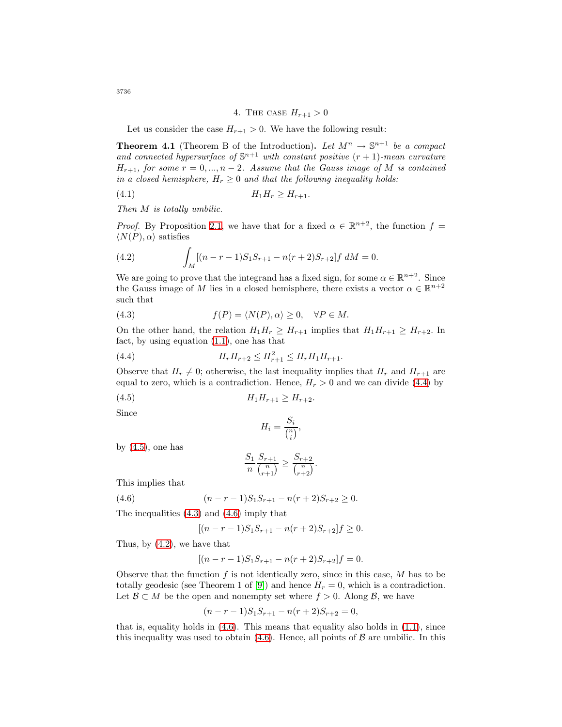### <span id="page-5-6"></span>4. THE CASE  $H_{r+1} > 0$

Let us consider the case  $H_{r+1} > 0$ . We have the following result:

<span id="page-5-5"></span>**Theorem 4.1** (Theorem B of the Introduction). Let  $M^n \to \mathbb{S}^{n+1}$  be a compact and connected hypersurface of  $\mathbb{S}^{n+1}$  with constant positive  $(r + 1)$ -mean curvature  $H_{r+1}$ , for some  $r = 0, ..., n-2$ . Assume that the Gauss image of M is contained in a closed hemisphere,  $H_r \geq 0$  and that the following inequality holds:

(4.1) H1H<sup>r</sup> ≥ H<sup>r</sup>+1.

Then M is totally umbilic.

<span id="page-5-4"></span>*Proof.* By Proposition [2.1,](#page-3-5) we have that for a fixed  $\alpha \in \mathbb{R}^{n+2}$ , the function  $f =$  $\langle N(P), \alpha \rangle$  satisfies

(4.2) 
$$
\int_M [(n-r-1)S_1S_{r+1} - n(r+2)S_{r+2}]f\ dM = 0.
$$

We are going to prove that the integrand has a fixed sign, for some  $\alpha \in \mathbb{R}^{n+2}$ . Since the Gauss image of M lies in a closed hemisphere, there exists a vector  $\alpha \in \mathbb{R}^{n+2}$ such that

<span id="page-5-2"></span>(4.3) 
$$
f(P) = \langle N(P), \alpha \rangle \ge 0, \quad \forall P \in M.
$$

On the other hand, the relation  $H_1H_r \geq H_{r+1}$  implies that  $H_1H_{r+1} \geq H_{r+2}$ . In fact, by using equation [\(1.1\)](#page-3-0), one has that

(4.4) 
$$
H_r H_{r+2} \leq H_{r+1}^2 \leq H_r H_1 H_{r+1}.
$$

Observe that  $H_r \neq 0$ ; otherwise, the last inequality implies that  $H_r$  and  $H_{r+1}$  are equal to zero, which is a contradiction. Hence,  $H_r > 0$  and we can divide [\(4.4\)](#page-5-0) by

$$
(4.5) \t\t H_1H_{r+1} \ge H_{r+2}.
$$

Since

<span id="page-5-1"></span><span id="page-5-0"></span>
$$
H_i = \frac{S_i}{\binom{n}{i}},
$$

by  $(4.5)$ , one has

$$
\frac{S_1}{n} \frac{S_{r+1}}{\binom{n}{r+1}} \ge \frac{S_{r+2}}{\binom{n}{r+2}}.
$$

<span id="page-5-3"></span>This implies that

(4.6) 
$$
(n-r-1)S_1S_{r+1} - n(r+2)S_{r+2} \ge 0.
$$

The inequalities [\(4.3\)](#page-5-2) and [\(4.6\)](#page-5-3) imply that

$$
[(n - r - 1)S_1S_{r+1} - n(r+2)S_{r+2}]f \ge 0.
$$

Thus, by [\(4.2\)](#page-5-4), we have that

$$
[(n - r - 1)S_1S_{r+1} - n(r + 2)S_{r+2}]f = 0.
$$

Observe that the function  $f$  is not identically zero, since in this case,  $M$  has to be totally geodesic (see Theorem 1 of [\[9\]](#page-8-1)) and hence  $H_r = 0$ , which is a contradiction. Let  $\mathcal{B} \subset M$  be the open and nonempty set where  $f > 0$ . Along  $\mathcal{B}$ , we have

$$
(n - r - 1)S_1S_{r+1} - n(r + 2)S_{r+2} = 0,
$$

that is, equality holds in  $(4.6)$ . This means that equality also holds in  $(1.1)$ , since this inequality was used to obtain  $(4.6)$ . Hence, all points of  $\beta$  are umbilic. In this

3736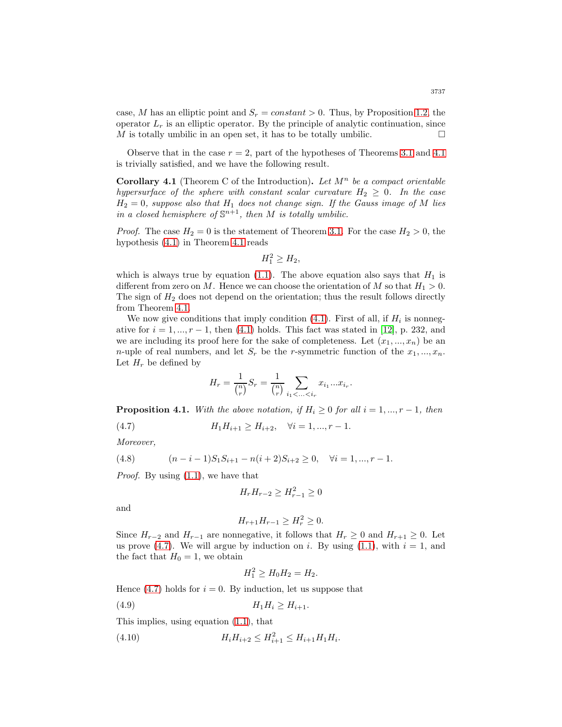case, M has an elliptic point and  $S_r = constant > 0$ . Thus, by Proposition [1.2,](#page-2-0) the operator  $L_r$  is an elliptic operator. By the principle of analytic continuation, since M is totally umbilic in an open set, it has to be totally umbilic.  $\Box$ 

Observe that in the case  $r = 2$ , part of the hypotheses of Theorems [3.1](#page-4-1) and [4.1](#page-5-5) is trivially satisfied, and we have the following result.

**Corollary 4.1** (Theorem C of the Introduction). Let  $M^n$  be a compact orientable hypersurface of the sphere with constant scalar curvature  $H_2 \geq 0$ . In the case  $H_2 = 0$ , suppose also that  $H_1$  does not change sign. If the Gauss image of M lies in a closed hemisphere of  $\mathbb{S}^{n+1}$ , then M is totally umbilic.

*Proof.* The case  $H_2 = 0$  is the statement of Theorem [3.1.](#page-4-1) For the case  $H_2 > 0$ , the hypothesis [\(4.1\)](#page-5-6) in Theorem [4.1](#page-5-5) reads

 $H_1^2 \ge H_2$ ,

which is always true by equation [\(1.1\)](#page-3-0). The above equation also says that  $H_1$  is different from zero on M. Hence we can choose the orientation of M so that  $H_1 > 0$ . The sign of  $H_2$  does not depend on the orientation; thus the result follows directly from Theorem [4.1.](#page-5-5)

We now give conditions that imply condition  $(4.1)$ . First of all, if  $H_i$  is nonnegative for  $i = 1, ..., r - 1$ , then [\(4.1\)](#page-5-6) holds. This fact was stated in [\[12\]](#page-8-3), p. 232, and we are including its proof here for the sake of completeness. Let  $(x_1, ..., x_n)$  be an *n*-uple of real numbers, and let  $S_r$  be the *r*-symmetric function of the  $x_1, ..., x_n$ . Let  $H_r$  be defined by

$$
H_r = \frac{1}{\binom{n}{r}} S_r = \frac{1}{\binom{n}{r}} \sum_{i_1 < \ldots < i_r} x_{i_1} \ldots x_{i_r}.
$$

**Proposition 4.1.** With the above notation, if  $H_i \geq 0$  for all  $i = 1, ..., r - 1$ , then

(4.7)  $H_1H_{i+1} \ge H_{i+2}, \quad \forall i = 1, ..., r-1.$ 

<span id="page-6-3"></span>Moreover,

(4.8) 
$$
(n-i-1)S_1S_{i+1} - n(i+2)S_{i+2} \ge 0, \quad \forall i = 1, ..., r-1.
$$

Proof. By using [\(1.1\)](#page-3-0), we have that

<span id="page-6-0"></span>
$$
H_r H_{r-2} \ge H_{r-1}^2 \ge 0
$$

and

$$
H_{r+1}H_{r-1} \ge H_r^2 \ge 0.
$$

Since  $H_{r-2}$  and  $H_{r-1}$  are nonnegative, it follows that  $H_r \geq 0$  and  $H_{r+1} \geq 0$ . Let us prove [\(4.7\)](#page-6-0). We will argue by induction on i. By using [\(1.1\)](#page-3-0), with  $i = 1$ , and the fact that  $H_0 = 1$ , we obtain

<span id="page-6-2"></span><span id="page-6-1"></span>
$$
H_1^2 \ge H_0 H_2 = H_2.
$$

Hence [\(4.7\)](#page-6-0) holds for  $i = 0$ . By induction, let us suppose that

$$
(4.9) \t\t\t H_1H_i \ge H_{i+1}.
$$

This implies, using equation [\(1.1\)](#page-3-0), that

(4.10) 
$$
H_i H_{i+2} \le H_{i+1}^2 \le H_{i+1} H_1 H_i.
$$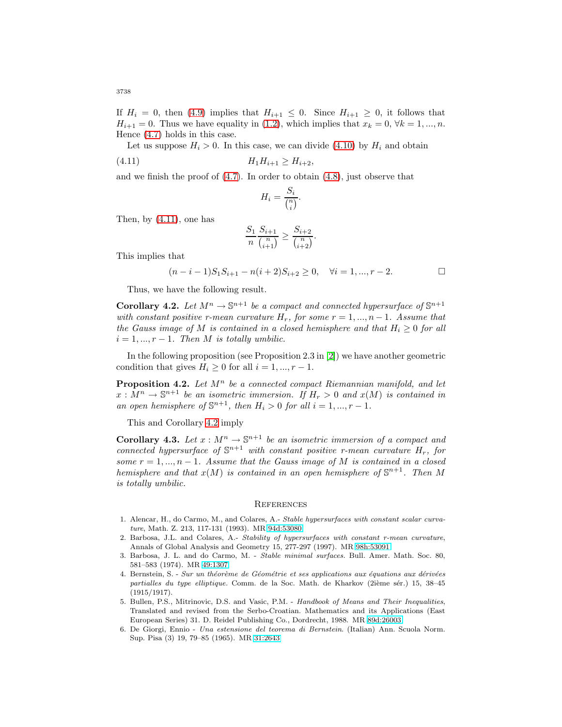If  $H_i = 0$ , then [\(4.9\)](#page-6-1) implies that  $H_{i+1} \leq 0$ . Since  $H_{i+1} \geq 0$ , it follows that  $H_{i+1} = 0$ . Thus we have equality in [\(1.2\)](#page-3-1), which implies that  $x_k = 0, \forall k = 1, ..., n$ . Hence [\(4.7\)](#page-6-0) holds in this case.

Let us suppose  $H_i > 0$ . In this case, we can divide [\(4.10\)](#page-6-2) by  $H_i$  and obtain (4.11)  $H_1H_{i+1} \geq H_{i+2}$ ,

and we finish the proof of [\(4.7\)](#page-6-0). In order to obtain [\(4.8\)](#page-6-3), just observe that

<span id="page-7-5"></span>
$$
H_i = \frac{S_i}{\binom{n}{i}}.
$$

Then, by [\(4.11\)](#page-7-5), one has

$$
\frac{S_1}{n} \frac{S_{i+1}}{\binom{n}{i+1}} \ge \frac{S_{i+2}}{\binom{n}{i+2}}.
$$

This implies that

$$
(n-i-1)S_1S_{i+1} - n(i+2)S_{i+2} \ge 0, \quad \forall i = 1, ..., r-2.
$$

Thus, we have the following result.

<span id="page-7-6"></span>**Corollary 4.2.** Let  $M^n \to \mathbb{S}^{n+1}$  be a compact and connected hypersurface of  $\mathbb{S}^{n+1}$ with constant positive r-mean curvature  $H_r$ , for some  $r = 1, ..., n - 1$ . Assume that the Gauss image of M is contained in a closed hemisphere and that  $H_i \geq 0$  for all  $i = 1, ..., r - 1$ . Then M is totally umbilic.

In the following proposition (see Proposition 2.3 in [\[2\]](#page-7-3)) we have another geometric condition that gives  $H_i \geq 0$  for all  $i = 1, ..., r - 1$ .

**Proposition 4.2.** Let  $M^n$  be a connected compact Riemannian manifold, and let  $x:\overline{M}^n\to \mathbb{S}^{n+1}$  be an isometric immersion. If  $H_r>0$  and  $x(M)$  is contained in an open hemisphere of  $\mathbb{S}^{n+1}$ , then  $H_i > 0$  for all  $i = 1, ..., r - 1$ .

This and Corollary [4.2](#page-7-6) imply

**Corollary 4.3.** Let  $x : M^n \to \mathbb{S}^{n+1}$  be an isometric immersion of a compact and connected hypersurface of  $\mathbb{S}^{n+1}$  with constant positive r-mean curvature  $H_r$ , for some  $r = 1, ..., n - 1$ . Assume that the Gauss image of M is contained in a closed hemisphere and that  $x(M)$  is contained in an open hemisphere of  $\mathbb{S}^{n+1}$ . Then M is totally umbilic.

#### **REFERENCES**

- 1. Alencar, H., do Carmo, M., and Colares, A.- Stable hypersurfaces with constant scalar curvature, Math. Z. 213, 117-131 (1993). MR [94d:53080](http://www.ams.org/mathscinet-getitem?mr=94d:53080)
- <span id="page-7-3"></span>2. Barbosa, J.L. and Colares, A.- Stability of hypersurfaces with constant r-mean curvature, Annals of Global Analysis and Geometry 15, 277-297 (1997). MR [98h:53091](http://www.ams.org/mathscinet-getitem?mr=98h:53091)
- <span id="page-7-1"></span>3. Barbosa, J. L. and do Carmo, M. - Stable minimal surfaces. Bull. Amer. Math. Soc. 80, 581–583 (1974). MR [49:1307](http://www.ams.org/mathscinet-getitem?mr=49:1307)
- <span id="page-7-0"></span>4. Bernstein, S. - Sur un théorème de Géométrie et ses applications aux équations aux dérivées partialles du type elliptique. Comm. de la Soc. Math. de Kharkov (2ième sér.) 15, 38–45 (1915/1917).
- <span id="page-7-4"></span>5. Bullen, P.S., Mitrinovic, D.S. and Vasic, P.M. - Handbook of Means and Their Inequalities, Translated and revised from the Serbo-Croatian. Mathematics and its Applications (East European Series) 31. D. Reidel Publishing Co., Dordrecht, 1988. MR [89d:26003](http://www.ams.org/mathscinet-getitem?mr=89d:26003)
- <span id="page-7-2"></span>6. De Giorgi, Ennio - Una estensione del teorema di Bernstein. (Italian) Ann. Scuola Norm. Sup. Pisa (3) 19, 79–85 (1965). MR [31:2643](http://www.ams.org/mathscinet-getitem?mr=31:2643)